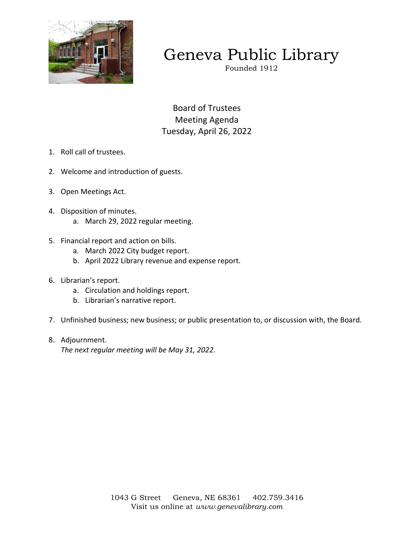

# Geneva Public Library

Founded 1912

Board of Trustees Meeting Agenda Tuesday, April 26, 2022

- 1. Roll call of trustees.
- 2. Welcome and introduction of guests.
- 3. Open Meetings Act.
- 4. Disposition of minutes.
	- a. March 29, 2022 regular meeting.
- 5. Financial report and action on bills.
	- a. March 2022 City budget report.
	- b. April 2022 Library revenue and expense report.
- 6. Librarian's report.
	- a. Circulation and holdings report.
	- b. Librarian's narrative report.
- 7. Unfinished business; new business; or public presentation to, or discussion with, the Board.
- 8. Adjournment.

*The next regular meeting will be May 31, 2022.*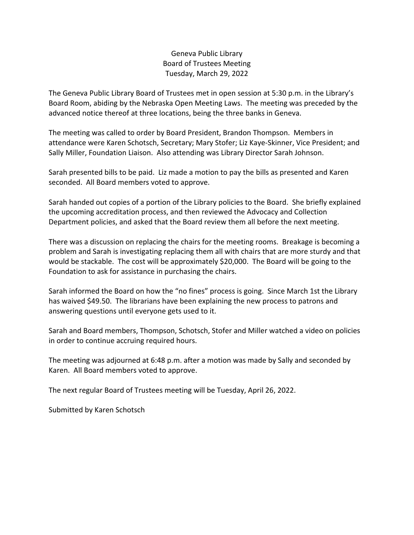## Geneva Public Library Board of Trustees Meeting Tuesday, March 29, 2022

The Geneva Public Library Board of Trustees met in open session at 5:30 p.m. in the Library's Board Room, abiding by the Nebraska Open Meeting Laws. The meeting was preceded by the advanced notice thereof at three locations, being the three banks in Geneva.

The meeting was called to order by Board President, Brandon Thompson. Members in attendance were Karen Schotsch, Secretary; Mary Stofer; Liz Kaye-Skinner, Vice President; and Sally Miller, Foundation Liaison. Also attending was Library Director Sarah Johnson.

Sarah presented bills to be paid. Liz made a motion to pay the bills as presented and Karen seconded. All Board members voted to approve.

Sarah handed out copies of a portion of the Library policies to the Board. She briefly explained the upcoming accreditation process, and then reviewed the Advocacy and Collection Department policies, and asked that the Board review them all before the next meeting.

There was a discussion on replacing the chairs for the meeting rooms. Breakage is becoming a problem and Sarah is investigating replacing them all with chairs that are more sturdy and that would be stackable. The cost will be approximately \$20,000. The Board will be going to the Foundation to ask for assistance in purchasing the chairs.

Sarah informed the Board on how the "no fines" process is going. Since March 1st the Library has waived \$49.50. The librarians have been explaining the new process to patrons and answering questions until everyone gets used to it.

Sarah and Board members, Thompson, Schotsch, Stofer and Miller watched a video on policies in order to continue accruing required hours.

The meeting was adjourned at 6:48 p.m. after a motion was made by Sally and seconded by Karen. All Board members voted to approve.

The next regular Board of Trustees meeting will be Tuesday, April 26, 2022.

Submitted by Karen Schotsch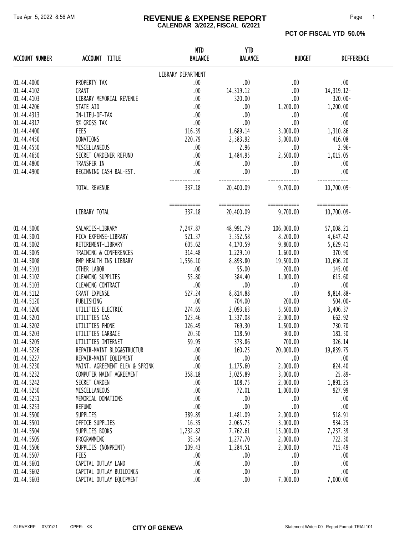#### Tue Apr 5, 2022 8:56 AM **REVENUE & EXPENSE REPORT** Page 1 **CALENDAR 3/2022, FISCAL 6/2021**

| <b>ACCOUNT NUMBER</b> | ACCOUNT TITLE                  | <b>MTD</b><br><b>BALANCE</b> | <b>YTD</b><br><b>BALANCE</b> | <b>BUDGET</b> | <b>DIFFERENCE</b> |
|-----------------------|--------------------------------|------------------------------|------------------------------|---------------|-------------------|
|                       |                                | LIBRARY DEPARTMENT           |                              |               |                   |
| 01.44.4000            | PROPERTY TAX                   | .00                          | .00.                         | .00           | .00               |
| 01.44.4102            | GRANT                          | .00                          | 14, 319.12                   | .00           | 14, 319. 12-      |
| 01.44.4103            | LIBRARY MEMORIAL REVENUE       | .00                          | 320.00                       | .00           | 320.00-           |
| 01.44.4206            | STATE AID                      | .00                          | .00                          | 1,200.00      | 1,200.00          |
| 01.44.4313            | IN-LIEU-OF-TAX                 | .00                          | .00                          | .00.          | .00               |
| 01.44.4317            | 5% GROSS TAX                   | .00                          | .00                          | .00           | .00               |
| 01.44.4400            | <b>FEES</b>                    | 116.39                       | 1,689.14                     | 3,000.00      | 1,310.86          |
| 01.44.4450            | DONATIONS                      | 220.79                       | 2,583.92                     | 3,000.00      | 416.08            |
| 01.44.4550            | MISCELLANEOUS                  | .00                          | 2.96                         | .00.          | $2.96 -$          |
| 01.44.4650            | SECRET GARDENER REFUND         | .00                          | 1,484.95                     | 2,500.00      | 1,015.05          |
| 01.44.4800            | TRANSFER IN                    | .00                          | .00.                         | .00.          | .00               |
| 01.44.4900            | BEGINNING CASH BAL-EST.        | .00                          | .00                          | .00           | .00               |
|                       |                                |                              |                              |               |                   |
|                       | TOTAL REVENUE                  | 337.18                       | 20,400.09                    | 9,700.00      | 10,700.09-        |
|                       |                                | ============                 | ============                 | ============  | ============      |
|                       | LIBRARY TOTAL                  | 337.18                       | 20,400.09                    | 9,700.00      | 10,700.09-        |
| 01.44.5000            | SALARIES-LIBRARY               | 7,247.87                     | 48,991.79                    | 106,000.00    | 57,008.21         |
| 01.44.5001            | FICA EXPENSE-LIBRARY           | 521.37                       | 3,552.58 8,200.00            |               | 4,647.42          |
| 01.44.5002            | RETIREMENT-LIBRARY             | 605.62                       | 4,170.59                     | 9,800.00      | 5,629.41          |
| 01.44.5005            | TRAINING & CONFERENCES         | 314.48                       | 1,229.10                     | 1,600.00      | 370.90            |
| 01.44.5008            | EMP HEALTH INS LIBRARY         | 1,556.10                     | 8,893.80                     | 19,500.00     | 10,606.20         |
| 01.44.5101            | OTHER LABOR                    | .00                          | 55.00                        | 200.00        | 145.00            |
| 01.44.5102            | CLEANING SUPPLIES              | 55.80                        | 384.40                       | 1,000.00      | 615.60            |
| 01.44.5103            | CLEANING CONTRACT              | .00                          | .00.                         | .00           | .00               |
| 01.44.5112            | <b>GRANT EXPENSE</b>           | 527.24                       | 8,814.88                     | .00           | 8,814.88-         |
| 01.44.5120            | PUBLISHING                     | .00                          | 704.00                       | 200.00        | $504.00 -$        |
| 01.44.5200            | UTILITIES ELECTRIC             | 274.65                       | 2,093.63                     | 5,500.00      | 3,406.37          |
| 01.44.5201            | UTILITIES GAS                  | 123.46                       | 1,337.08                     | 2,000.00      | 662.92            |
| 01.44.5202            | UTILITIES PHONE                | 126.49                       | 769.30                       | 1,500.00      | 730.70            |
| 01.44.5203            | UTILITIES GARBAGE              | 20.50                        | 118.50                       | 300.00        | 181.50            |
| 01.44.5205            | UTILITIES INTERNET             | 59.95                        | 373.86                       | 700.00        | 326.14            |
| 01.44.5226            | REPAIR-MAINT BLDG&STRUCTUR     | .00                          | 160.25                       | 20,000.00     | 19,839.75         |
| 01.44.5227            | REPAIR-MAINT EQUIPMENT         | .00                          | .00                          | .00           | .00               |
| 01.44.5230            | MAINT. AGREEMENT ELEV & SPRINK | .00                          | 1,175.60                     | 2,000.00      | 824.40            |
| 01.44.5232            | COMPUTER MAINT AGREEMENT       | 358.18                       | 3,025.89                     | 3,000.00      | $25.89 -$         |
| 01.44.5242            | SECRET GARDEN                  | .00                          | 108.75                       | 2,000.00      | 1,891.25          |
| 01.44.5250            | MISCELLANEOUS                  | .00                          | 72.01                        | 1,000.00      | 927.99            |
| 01.44.5251            | MEMORIAL DONATIONS             | .00                          | .00                          | .00           | .00               |
| 01.44.5253            | <b>REFUND</b>                  | .00                          | .00                          | .00           | .00               |
| 01.44.5500            | SUPPLIES                       | 389.89                       | 1,481.09                     | 2,000.00      | 518.91            |
| 01.44.5501            | OFFICE SUPPLIES                | 16.35                        | 2,065.75                     | 3,000.00      | 934.25            |
| 01.44.5504            | SUPPLIES BOOKS                 | 1,232.82                     | 7,762.61                     | 15,000.00     | 7,237.39          |
| 01.44.5505            | PROGRAMMING                    | 35.54                        | 1,277.70                     | 2,000.00      | 722.30            |
| 01.44.5506            | SUPPLIES (NONPRINT)            | 109.43                       | 1,284.51                     | 2,000.00      | 715.49            |
| 01.44.5507            | FEES                           | .00.                         | .00.                         | .00           | .00               |
| 01.44.5601            | CAPITAL OUTLAY LAND            | .00                          | .00                          | .00           | .00               |
| 01.44.5602            | CAPITAL OUTLAY BUILDINGS       | .00                          | .00                          | .00           | .00               |
| 01.44.5603            | CAPITAL OUTLAY EQUIPMENT       | .00.                         | .00                          | 7,000.00      | 7,000.00          |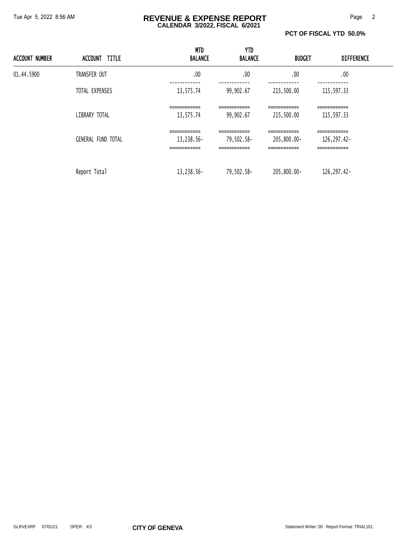#### Tue Apr 5, 2022 8:56 AM **REVENUE & EXPENSE REPORT** Page 2 **CALENDAR 3/2022, FISCAL 6/2021**

**PCT OF FISCAL YTD 50.0%** 

| <b>ACCOUNT NUMBER</b> | ACCOUNT TITLE             | <b>MTD</b><br><b>BALANCE</b>               | YTD<br><b>BALANCE</b>                                       | <b>BUDGET</b>                                | <b>DIFFERENCE</b>                                          |  |
|-----------------------|---------------------------|--------------------------------------------|-------------------------------------------------------------|----------------------------------------------|------------------------------------------------------------|--|
| 01.44.5900            | TRANSFER OUT              | .00                                        | .00                                                         | .00                                          | .00                                                        |  |
|                       | TOTAL EXPENSES            | 13,575.74                                  | 99,902.67                                                   | 215,500.00                                   | 115,597.33                                                 |  |
|                       | LIBRARY TOTAL             | ============<br>13,575.74                  | -------------<br>99,902.67                                  | ============<br>215,500.00                   | ============<br>115,597.33                                 |  |
|                       | <b>GENERAL FUND TOTAL</b> | ============<br>13,238.56-<br>============ | ============<br>79,502.58-<br>-------------<br>------------ | ============<br>205,800.00-<br>------------- | ============<br>126, 297.42-<br>------------<br>---------- |  |
|                       | Report Total              | 13,238.56-                                 | 79,502.58-                                                  | 205,800.00-                                  | 126, 297.42-                                               |  |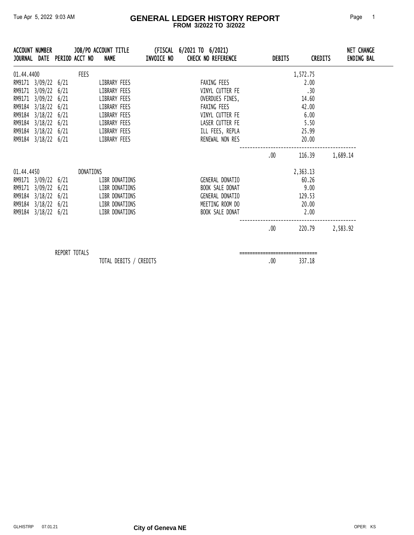#### Tue Apr 5, 2022 9:03 AM **GENERAL LEDGER HISTORY REPORT** Page 1  **FROM 3/2022 TO 3/2022**

|            | ACCOUNT NUMBER                                                                                                                                                |               | JOURNAL DATE PERIOD ACCT NO NAME | JOB/PO ACCOUNT TITLE                                                                                         | (FISCAL 6/2021 TO 6/2021)<br>INVOICE NO CHECK NO REFERENCE                                                                | DEBITS   | <b>CREDITS</b>                                                     | <b>NET CHANGE</b><br><b>ENDING BAL</b> |
|------------|---------------------------------------------------------------------------------------------------------------------------------------------------------------|---------------|----------------------------------|--------------------------------------------------------------------------------------------------------------|---------------------------------------------------------------------------------------------------------------------------|----------|--------------------------------------------------------------------|----------------------------------------|
| 01.44.4400 | RM9171 3/09/22 6/21<br>RM9171 3/09/22 6/21<br>RM9171 3/09/22 6/21<br>RM9184 3/18/22 6/21<br>RM9184 3/18/22 6/21<br>RM9184 3/18/22 6/21<br>RM9184 3/18/22 6/21 |               | FEES                             | LIBRARY FEES<br>LIBRARY FEES<br>LIBRARY FEES<br>LIBRARY FEES<br>LIBRARY FEES<br>LIBRARY FEES<br>LIBRARY FEES | FAXING FEES<br>VINYL CUTTER FE<br>OVERDUES FINES,<br>FAXING FEES<br>VINYL CUTTER FE<br>LASER CUTTER FE<br>ILL FEES, REPLA |          | 1,572.75<br>2.00<br>.30<br>14.60<br>42.00<br>6.00<br>5.50<br>25.99 |                                        |
|            | RM9184 3/18/22 6/21                                                                                                                                           |               |                                  | LIBRARY FEES                                                                                                 | RENEWAL NON RES                                                                                                           | .00.     | 20.00<br>116.39                                                    | 1,689.14                               |
|            | 01.44.4450<br>RM9171 3/09/22 6/21<br>RM9171 3/09/22 6/21<br>RM9184 3/18/22 6/21<br>RM9184 3/18/22 6/21<br>RM9184 3/18/22 6/21                                 |               | DONATIONS                        | LIBR DONATIONS<br>LIBR DONATIONS<br>LIBR DONATIONS<br>LIBR DONATIONS<br>LIBR DONATIONS                       | GENERAL DONATIO<br>BOOK SALE DONAT<br>GENERAL DONATIO<br>MEETING ROOM DO<br>BOOK SALE DONAT                               |          | 2,363.13<br>60.26<br>9.00<br>129.53<br>20.00<br>2.00               |                                        |
|            |                                                                                                                                                               |               |                                  |                                                                                                              |                                                                                                                           | $.00 \,$ | 220.79                                                             | 2,583.92                               |
|            |                                                                                                                                                               | REPORT TOTALS |                                  | TOTAL DEBITS / CREDITS                                                                                       |                                                                                                                           | .00      | 337.18                                                             |                                        |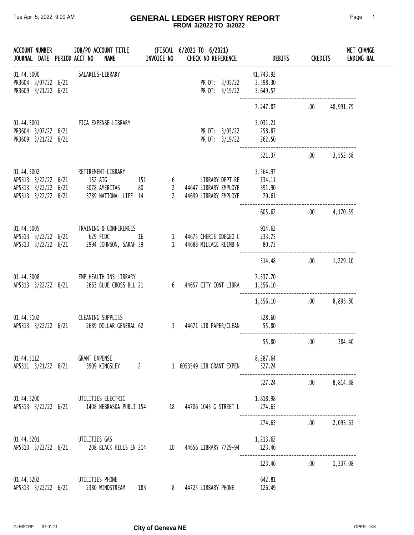#### Tue Apr 5, 2022 9:00 AM **GENERAL LEDGER HISTORY REPORT** Page 1  **FROM 3/2022 TO 3/2022**

| ACCOUNT NUMBER                                           |  | JOURNAL DATE PERIOD ACCT NO<br><b>NAME</b>                  | <b>INVOICE NO</b> | JOB/PO ACCOUNT TITLE (FISCAL 6/2021 TO 6/2021)<br><b>CHECK NO REFERENCE</b>                                                                   | <b>DEBITS</b>         | CREDITS | NET CHANGE<br><b>ENDING BAL</b> |
|----------------------------------------------------------|--|-------------------------------------------------------------|-------------------|-----------------------------------------------------------------------------------------------------------------------------------------------|-----------------------|---------|---------------------------------|
| 01.44.5000<br>PR3604 3/07/22 6/21<br>PR3609 3/21/22 6/21 |  | SALARIES-LIBRARY                                            |                   | PR DT: 3/05/22 3,598.30<br>PR DT: $3/19/22$ 3,649.57                                                                                          | 41,743.92             |         |                                 |
|                                                          |  |                                                             |                   |                                                                                                                                               | 7,247.87 .00          |         | 48,991.79                       |
| PR3604 3/07/22 6/21<br>PR3609 3/21/22 6/21               |  | 01.44.5001 FICA EXPENSE-LIBRARY                             |                   | PR DT: 3/05/22 258.87<br>PR DT: 3/19/22                                                                                                       | 3,031.21<br>262.50    |         |                                 |
|                                                          |  |                                                             |                   |                                                                                                                                               | 521.37                |         | $.00 \qquad 3,552.58$           |
| 01.44.5002<br>AP5313 3/22/22 6/21<br>AP5313 3/22/22 6/21 |  | RETIREMENT-LIBRARY<br>AP5313 3/22/22 6/21 152 AIG           |                   | 152 AIG 151 6 LIBRARY DEPT RE 134.11<br>178 AMERITAS 80 2 44647 LIBRARY EMPLOYE 391.90<br>1789 NATIONAL LIFE 14 2 44699 LIBRARY EMPLOYE 79.61 | 3,564.97              |         |                                 |
|                                                          |  |                                                             |                   |                                                                                                                                               | 605.62                |         | $.00 \qquad \qquad 4,170.59$    |
| 01.44.5005<br>AP5313 3/22/22 6/21                        |  | TRAINING & CONFERENCES<br>AP5313 3/22/22 6/21 629 FCDC      |                   |                                                                                                                                               | 914.62<br>80.73       |         |                                 |
|                                                          |  |                                                             |                   |                                                                                                                                               | 314.48                |         | $.00 \qquad 1,229.10$           |
|                                                          |  | 01.44.5008 EMP HEALTH INS LIBRARY                           |                   |                                                                                                                                               | 7,337.70              |         |                                 |
|                                                          |  |                                                             |                   |                                                                                                                                               | 1,556.10 .00 8,893.80 |         |                                 |
| 01.44.5102                                               |  | <b>CLEANING SUPPLIES</b>                                    |                   | AP5313 3/22/22 6/21 2689 DOLLAR GENERAL 62 3 44671 LIB PAPER/CLEAN                                                                            | 328.60<br>55.80       |         |                                 |
|                                                          |  |                                                             |                   |                                                                                                                                               | 55.80                 | .00     | 384.40                          |
| 01.44.5112                                               |  | <b>GRANT EXPENSE</b><br>AP5311 3/21/22 6/21 3909 KINGSLEY 2 |                   | 1 6053549 LIB GRANT EXPEN                                                                                                                     | 8,287.64<br>527.24    |         |                                 |
|                                                          |  |                                                             |                   |                                                                                                                                               | 527.24 .00 8,814.88   |         |                                 |
|                                                          |  | 01.44.5200 UTILITIES ELECTRIC                               |                   | AP5313 3/22/22 6/21 1408 NEBRASKA PUBLI 154 18 44706 1043 G STREET L                                                                          | 1,818.98<br>274.65    |         |                                 |
|                                                          |  |                                                             |                   |                                                                                                                                               | 274.65 .00 2,093.63   |         |                                 |
|                                                          |  | 01.44.5201 UTILITIES GAS                                    |                   | AP5313 3/22/22 6/21 208 BLACK HILLS EN 214 10 44656 LIBRARY 7729-94                                                                           | 1,213.62<br>123.46    |         |                                 |
|                                                          |  |                                                             |                   |                                                                                                                                               | 123.46                |         | .00 1,337.08                    |
| 01.44.5202                                               |  | UTILITIES PHONE<br>AP5313 3/22/22 6/21 2380 WINDSTREAM 183  |                   | 8 44725 LIRBARY PHONE                                                                                                                         | 642.81<br>126.49      |         |                                 |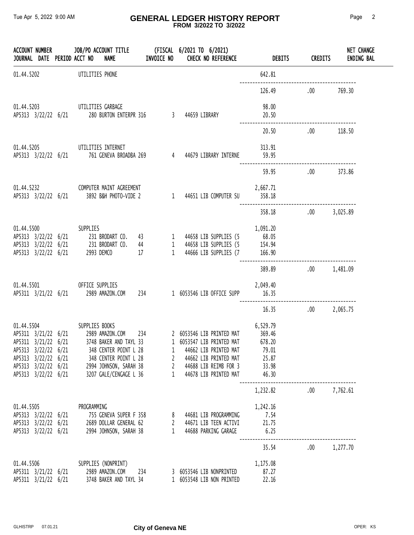#### Tue Apr 5, 2022 9:00 AM **GENERAL LEDGER HISTORY REPORT** Page 2  **FROM 3/2022 TO 3/2022**

|                                                                                                                 |  | JOURNAL DATE PERIOD ACCT NO<br><b>NAME</b>                                                                                                                                                           | <b>INVOICE NO</b>      | <b>CHECK NO REFERENCE</b>                                                                                                                                    | <b>DEBITS</b>                                                    | <b>CREDITS</b> | <b>NET CHANGE</b><br><b>ENDING BAL</b> |
|-----------------------------------------------------------------------------------------------------------------|--|------------------------------------------------------------------------------------------------------------------------------------------------------------------------------------------------------|------------------------|--------------------------------------------------------------------------------------------------------------------------------------------------------------|------------------------------------------------------------------|----------------|----------------------------------------|
| 01.44.5202                                                                                                      |  | UTILITIES PHONE                                                                                                                                                                                      |                        |                                                                                                                                                              | 642.81                                                           |                |                                        |
|                                                                                                                 |  |                                                                                                                                                                                                      |                        |                                                                                                                                                              | 126.49                                                           | $.00\,$        | 769.30                                 |
|                                                                                                                 |  | 01.44.5203 UTILITIES GARBAGE<br>AP5313 3/22/22 6/21 280 BURTON ENTERPR 316 3 44659 LIBRARY                                                                                                           |                        |                                                                                                                                                              | 98.00<br>20.50                                                   |                |                                        |
|                                                                                                                 |  |                                                                                                                                                                                                      |                        |                                                                                                                                                              | 20.50                                                            | .00            | 118.50                                 |
|                                                                                                                 |  | 01.44.5205 UTILITIES INTERNET<br>APS313 3/22/22 6/21 761 GENEVA BROADBA 269 4 44679 LIBRARY INTERNE                                                                                                  |                        |                                                                                                                                                              | 313.91<br>59.95                                                  |                |                                        |
|                                                                                                                 |  |                                                                                                                                                                                                      |                        |                                                                                                                                                              | 59.95                                                            | $.00 \,$       | 373.86                                 |
|                                                                                                                 |  | 01.44.5232 COMPUTER MAINT AGREEMENT                                                                                                                                                                  |                        | 2,667.71                                                                                                                                                     | 358.18                                                           |                |                                        |
|                                                                                                                 |  |                                                                                                                                                                                                      |                        |                                                                                                                                                              | 358.18                                                           | .00 3,025.89   |                                        |
| AP5313 3/22/22 6/21                                                                                             |  | 01.44.5500 SUPPLIES<br>AP5313 3/22/22 6/21 231 BRODART CO. 43<br>AP5313 3/22/22 6/21 231 BRODART CO. 44<br>2993 DEMCO<br>17                                                                          |                        | 1 44658 LIB SUPPLIES (5 68.05<br>1 44658 LIB SUPPLIES (5 154.94<br>1 44666 LIB SUPPLIES (7 166.90                                                            | 1,091.20                                                         |                |                                        |
|                                                                                                                 |  |                                                                                                                                                                                                      |                        |                                                                                                                                                              | 389.89                                                           | .00 1,481.09   |                                        |
|                                                                                                                 |  | 01.44.5501 OFFICE SUPPLIES<br>AP5311 3/21/22 6/21 2989 AMAZON.COM 234 1 6053546 LIB OFFICE SUPP 16.35                                                                                                |                        | 2,049.40                                                                                                                                                     |                                                                  |                |                                        |
|                                                                                                                 |  |                                                                                                                                                                                                      |                        |                                                                                                                                                              | 16.35                                                            | .00 2,065.75   |                                        |
| AP5311 3/21/22 6/21<br>AP5313 3/22/22 6/21<br>AP5313 3/22/22 6/21<br>AP5313 3/22/22 6/21<br>AP5313 3/22/22 6/21 |  | 01.44.5504 SUPPLIES BOOKS<br>AP5311 3/21/22 6/21 2989 AMAZON.COM 234<br>3748 BAKER AND TAYL 33<br>348 CENTER POINT L 28<br>348 CENTER POINT L 28<br>2994 JOHNSON, SARAH 38<br>3207 GALE/CENGAGE L 36 | 1<br>$\mathbf{2}$<br>1 | 2 6053546 LIB PRINTED MAT<br>1 6053547 LIB PRINTED MAT<br>44662 LIB PRINTED MAT<br>44662 LIB PRINTED MAT<br>2 44688 LIB REIMB FOR 3<br>44678 LIB PRINTED MAT | 6,529.79<br>369.46<br>678.20<br>79.01<br>25.87<br>33.98<br>46.30 |                |                                        |
|                                                                                                                 |  |                                                                                                                                                                                                      |                        |                                                                                                                                                              | 1,232.82                                                         | .00 7,762.61   |                                        |
| 01.44.5505<br>AP5313 3/22/22 6/21<br>AP5313 3/22/22 6/21<br>AP5313 3/22/22 6/21                                 |  | PROGRAMMING<br>755 GENEVA SUPER F 358<br>2689 DOLLAR GENERAL 62<br>2994 JOHNSON, SARAH 38                                                                                                            | $\mathbf{2}$<br>1      | 8 44681 LIB PROGRAMMING<br>44671 LIB TEEN ACTIVI<br>44688 PARKING GARAGE                                                                                     | 1,242.16<br>7.54<br>21.75<br>6.25                                |                |                                        |
|                                                                                                                 |  |                                                                                                                                                                                                      |                        |                                                                                                                                                              | 35.54                                                            | $.00\,$        | 1,277.70                               |
| 01.44.5506<br>AP5311 3/21/22 6/21<br>AP5311 3/21/22 6/21                                                        |  | SUPPLIES (NONPRINT)<br>2989 AMAZON.COM<br>3748 BAKER AND TAYL 34                                                                                                                                     | 234                    | 3 6053546 LIB NONPRINTED<br>1 6053548 LIB NON PRINTED                                                                                                        | 1,175.08<br>87.27<br>22.16                                       |                |                                        |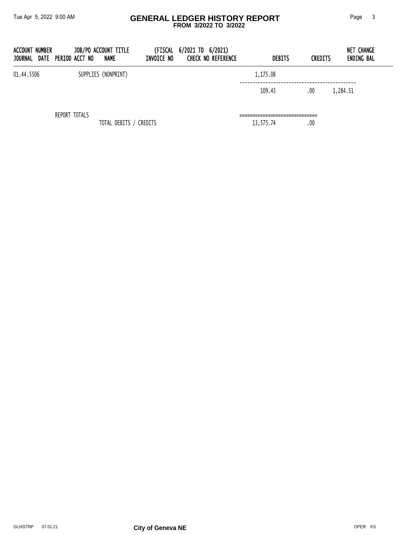#### Tue Apr 5, 2022 9:00 AM **GENERAL LEDGER HISTORY REPORT** Page 3  **FROM 3/2022 TO 3/2022**

| <b>ACCOUNT NUMBER</b><br>JOURNAL | DATE PERIOD ACCT NO | JOB/PO ACCOUNT TITLE<br>NAME | INVOICE NO | (FISCAL 6/2021 TO 6/2021)<br><b>CHECK NO REFERENCE</b> | <b>DEBITS</b> | <b>CREDITS</b> | NET CHANGE<br><b>ENDING BAL</b> |
|----------------------------------|---------------------|------------------------------|------------|--------------------------------------------------------|---------------|----------------|---------------------------------|
| 01.44.5506                       |                     | SUPPLIES (NONPRINT)          |            |                                                        | 1,175.08      |                |                                 |
|                                  |                     |                              |            |                                                        | 109.43        | .00            | 1,284.51                        |
|                                  | REPORT TOTALS       |                              |            |                                                        |               |                |                                 |
|                                  |                     | TOTAL DEBITS / CREDITS       |            |                                                        | 13,575.74     | .00            |                                 |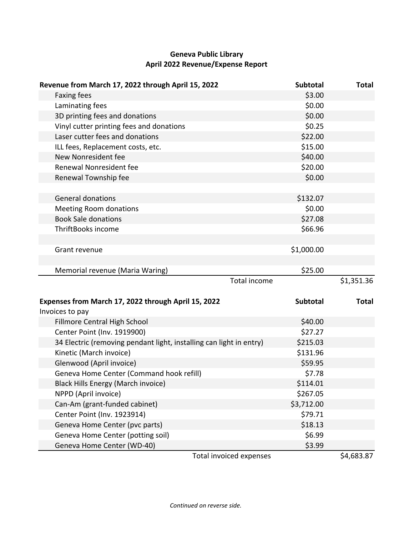# **Geneva Public Library April 2022 Revenue/Expense Report**

| Revenue from March 17, 2022 through April 15, 2022                  | Subtotal        | <b>Total</b> |
|---------------------------------------------------------------------|-----------------|--------------|
| Faxing fees                                                         | \$3.00          |              |
| Laminating fees                                                     | \$0.00          |              |
| 3D printing fees and donations                                      | \$0.00          |              |
| Vinyl cutter printing fees and donations                            | \$0.25          |              |
| Laser cutter fees and donations                                     | \$22.00         |              |
| ILL fees, Replacement costs, etc.                                   | \$15.00         |              |
| New Nonresident fee                                                 | \$40.00         |              |
| Renewal Nonresident fee                                             | \$20.00         |              |
| Renewal Township fee                                                | \$0.00          |              |
|                                                                     |                 |              |
| <b>General donations</b>                                            | \$132.07        |              |
| <b>Meeting Room donations</b>                                       | \$0.00          |              |
| <b>Book Sale donations</b>                                          | \$27.08         |              |
| ThriftBooks income                                                  | \$66.96         |              |
|                                                                     |                 |              |
| Grant revenue                                                       | \$1,000.00      |              |
|                                                                     |                 |              |
|                                                                     |                 |              |
| Memorial revenue (Maria Waring)                                     | \$25.00         |              |
| <b>Total income</b>                                                 |                 | \$1,351.36   |
|                                                                     |                 |              |
| Expenses from March 17, 2022 through April 15, 2022                 | <b>Subtotal</b> | <b>Total</b> |
| Invoices to pay                                                     |                 |              |
| Fillmore Central High School                                        | \$40.00         |              |
| Center Point (Inv. 1919900)                                         | \$27.27         |              |
| 34 Electric (removing pendant light, installing can light in entry) | \$215.03        |              |
| Kinetic (March invoice)                                             | \$131.96        |              |
| Glenwood (April invoice)                                            | \$59.95         |              |
| Geneva Home Center (Command hook refill)                            | \$7.78          |              |
| Black Hills Energy (March invoice)                                  | \$114.01        |              |
| NPPD (April invoice)                                                | \$267.05        |              |
| Can-Am (grant-funded cabinet)                                       | \$3,712.00      |              |
| Center Point (Inv. 1923914)                                         | \$79.71         |              |
| Geneva Home Center (pvc parts)                                      | \$18.13         |              |
| Geneva Home Center (potting soil)                                   | \$6.99          |              |
| Geneva Home Center (WD-40)                                          | \$3.99          |              |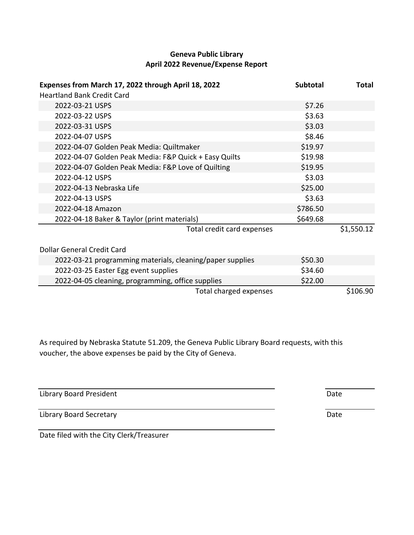## **Geneva Public Library April 2022 Revenue/Expense Report**

| Expenses from March 17, 2022 through April 18, 2022       | <b>Subtotal</b> | Total      |
|-----------------------------------------------------------|-----------------|------------|
| <b>Heartland Bank Credit Card</b>                         |                 |            |
| 2022-03-21 USPS                                           | \$7.26          |            |
| 2022-03-22 USPS                                           | \$3.63          |            |
| 2022-03-31 USPS                                           | \$3.03          |            |
| 2022-04-07 USPS                                           | \$8.46          |            |
| 2022-04-07 Golden Peak Media: Quiltmaker                  | \$19.97         |            |
| 2022-04-07 Golden Peak Media: F&P Quick + Easy Quilts     | \$19.98         |            |
| 2022-04-07 Golden Peak Media: F&P Love of Quilting        | \$19.95         |            |
| 2022-04-12 USPS                                           | \$3.03          |            |
| 2022-04-13 Nebraska Life                                  | \$25.00         |            |
| 2022-04-13 USPS                                           | \$3.63          |            |
| 2022-04-18 Amazon                                         | \$786.50        |            |
| 2022-04-18 Baker & Taylor (print materials)               | \$649.68        |            |
| Total credit card expenses                                |                 | \$1,550.12 |
| Dollar General Credit Card                                |                 |            |
| 2022-03-21 programming materials, cleaning/paper supplies | \$50.30         |            |
| 2022-03-25 Easter Egg event supplies                      | \$34.60         |            |
| 2022-04-05 cleaning, programming, office supplies         | \$22.00         |            |
| Total charged expenses                                    |                 | \$106.90   |

As required by Nebraska Statute 51.209, the Geneva Public Library Board requests, with this voucher, the above expenses be paid by the City of Geneva.

Library Board President **Date** 

Library Board Secretary **Date** 

Date filed with the City Clerk/Treasurer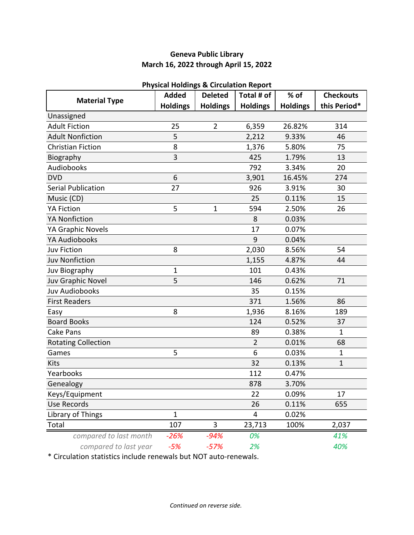## **Geneva Public Library March 16, 2022 through April 15, 2022**

|                            | <b>Added</b>    | r hysical Holdings & Circulation Report<br><b>Deleted</b> | Total # of      | % of            | <b>Checkouts</b> |
|----------------------------|-----------------|-----------------------------------------------------------|-----------------|-----------------|------------------|
| <b>Material Type</b>       | <b>Holdings</b> | <b>Holdings</b>                                           | <b>Holdings</b> | <b>Holdings</b> | this Period*     |
| Unassigned                 |                 |                                                           |                 |                 |                  |
| <b>Adult Fiction</b>       | 25              | $\overline{2}$                                            | 6,359           | 26.82%          | 314              |
| <b>Adult Nonfiction</b>    | 5               |                                                           | 2,212           | 9.33%           | 46               |
| <b>Christian Fiction</b>   | 8               |                                                           | 1,376           | 5.80%           | 75               |
| Biography                  | 3               |                                                           | 425             | 1.79%           | 13               |
| <b>Audiobooks</b>          |                 |                                                           | 792             | 3.34%           | 20               |
| <b>DVD</b>                 | 6               |                                                           | 3,901           | 16.45%          | 274              |
| <b>Serial Publication</b>  | 27              |                                                           | 926             | 3.91%           | 30               |
| Music (CD)                 |                 |                                                           | 25              | 0.11%           | 15               |
| <b>YA Fiction</b>          | 5               | $\mathbf{1}$                                              | 594             | 2.50%           | 26               |
| <b>YA Nonfiction</b>       |                 |                                                           | 8               | 0.03%           |                  |
| YA Graphic Novels          |                 |                                                           | 17              | 0.07%           |                  |
| YA Audiobooks              |                 |                                                           | 9               | 0.04%           |                  |
| <b>Juv Fiction</b>         | 8               |                                                           | 2,030           | 8.56%           | 54               |
| <b>Juv Nonfiction</b>      |                 |                                                           | 1,155           | 4.87%           | 44               |
| Juv Biography              | 1               |                                                           | 101             | 0.43%           |                  |
| Juv Graphic Novel          | 5               |                                                           | 146             | 0.62%           | 71               |
| <b>Juv Audiobooks</b>      |                 |                                                           | 35              | 0.15%           |                  |
| <b>First Readers</b>       |                 |                                                           | 371             | 1.56%           | 86               |
| Easy                       | 8               |                                                           | 1,936           | 8.16%           | 189              |
| <b>Board Books</b>         |                 |                                                           | 124             | 0.52%           | 37               |
| Cake Pans                  |                 |                                                           | 89              | 0.38%           | $\mathbf{1}$     |
| <b>Rotating Collection</b> |                 |                                                           | $\overline{2}$  | 0.01%           | 68               |
| Games                      | 5               |                                                           | 6               | 0.03%           | $\mathbf{1}$     |
| Kits                       |                 |                                                           | 32              | 0.13%           | $\mathbf 1$      |
| Yearbooks                  |                 |                                                           | 112             | 0.47%           |                  |
| Genealogy                  |                 |                                                           | 878             | 3.70%           |                  |
| Keys/Equipment             |                 |                                                           | 22              | 0.09%           | 17               |
| <b>Use Records</b>         |                 |                                                           | 26              | 0.11%           | 655              |
| Library of Things          | $\mathbf{1}$    |                                                           | 4               | 0.02%           |                  |
| Total                      | 107             | 3                                                         | 23,713          | 100%            | 2,037            |
| compared to last month     | -26%            | $-94%$                                                    | 0%              |                 | 41%              |
| compared to last year      | $-5%$           | $-57%$                                                    | 2%              |                 | 40%              |

#### **Physical Holdings & Circulation Report**

\* Circulation statistics include renewals but NOT auto-renewals.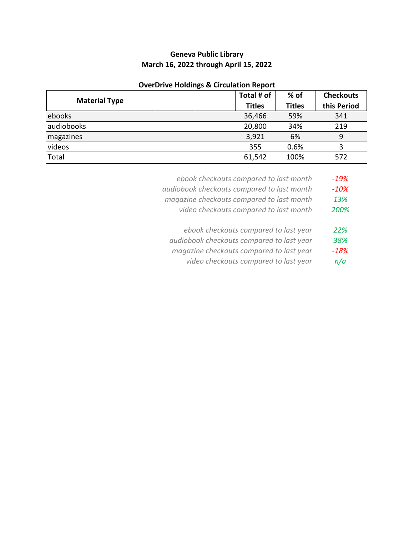## **Geneva Public Library March 16, 2022 through April 15, 2022**

#### **OverDrive Holdings & Circulation Report**

|                      |  | Total # of    | $%$ of        | <b>Checkouts</b> |
|----------------------|--|---------------|---------------|------------------|
| <b>Material Type</b> |  | <b>Titles</b> | <b>Titles</b> | this Period      |
| ebooks               |  | 36,466        | 59%           | 341              |
| audiobooks           |  | 20,800        | 34%           | 219              |
| magazines            |  | 3,921         | 6%            | 9                |
| videos               |  | 355           | 0.6%          |                  |
| Total                |  | 61,542        | 100%          | 572              |

- *ebook checkouts compared to last month -19%*
- *audiobook checkouts compared to last month -10%*
- *magazine checkouts compared to last month 13%*
	- *video checkouts compared to last month 200%*
	- *ebook checkouts compared to last year 22%*
- *audiobook checkouts compared to last year 38%*
- *magazine checkouts compared to last year -18%*
	- *video checkouts compared to last year n/a*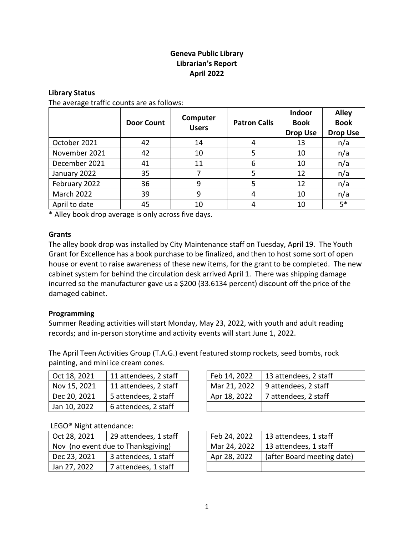## **Geneva Public Library Librarian's Report April 2022**

#### **Library Status**

The average traffic counts are as follows:

|                   | <b>Door Count</b> | Computer<br><b>Users</b> | <b>Patron Calls</b> | Indoor<br><b>Book</b><br><b>Drop Use</b> | <b>Alley</b><br><b>Book</b><br><b>Drop Use</b> |
|-------------------|-------------------|--------------------------|---------------------|------------------------------------------|------------------------------------------------|
| October 2021      | 42                | 14                       | 4                   | 13                                       | n/a                                            |
| November 2021     | 42                | 10                       | 5                   | 10                                       | n/a                                            |
| December 2021     | 41                | 11                       | 6                   | 10                                       | n/a                                            |
| January 2022      | 35                |                          | 5                   | 12                                       | n/a                                            |
| February 2022     | 36                | 9                        | 5                   | 12                                       | n/a                                            |
| <b>March 2022</b> | 39                | 9                        | 4                   | 10                                       | n/a                                            |
| April to date     | 45                | 10                       | 4                   | 10                                       | $5*$                                           |

\* Alley book drop average is only across five days.

#### **Grants**

The alley book drop was installed by City Maintenance staff on Tuesday, April 19. The Youth Grant for Excellence has a book purchase to be finalized, and then to host some sort of open house or event to raise awareness of these new items, for the grant to be completed. The new cabinet system for behind the circulation desk arrived April 1. There was shipping damage incurred so the manufacturer gave us a \$200 (33.6134 percent) discount off the price of the damaged cabinet.

#### **Programming**

Summer Reading activities will start Monday, May 23, 2022, with youth and adult reading records; and in-person storytime and activity events will start June 1, 2022.

The April Teen Activities Group (T.A.G.) event featured stomp rockets, seed bombs, rock painting, and mini ice cream cones.

| $\vert$ Oct 18, 2021 | 11 attendees, 2 staff | Feb 14, 2022 | 13 attendees, 2 staff |
|----------------------|-----------------------|--------------|-----------------------|
| Nov 15, 2021         | 11 attendees, 2 staff | Mar 21, 2022 | 9 attendees, 2 staff  |
| Dec 20, 2021         | 5 attendees, 2 staff  | Apr 18, 2022 | 7 attendees, 2 staff  |
| Jan 10, 2022         | 6 attendees, 2 staff  |              |                       |

#### LEGO® Night attendance:

| $\vert$ Oct 28, 2021               | 29 attendees, 1 staff | Feb 24, 2022 | 13 attendees, 1 staff |
|------------------------------------|-----------------------|--------------|-----------------------|
| Nov (no event due to Thanksgiving) |                       | Mar 24, 2022 | 13 attendees, 1 staff |
| Dec 23, 2021                       | 3 attendees, 1 staff  | Apr 28, 2022 | (after Board meeting  |
| Jan 27, 2022                       | 7 attendees, 1 staff  |              |                       |

| Feb 14, 2022 | 13 attendees, 2 staff |
|--------------|-----------------------|
| Mar 21, 2022 | 9 attendees, 2 staff  |
| Apr 18, 2022 | 7 attendees, 2 staff  |
|              |                       |

| Oct 28, 2021                       | 29 attendees, 1 staff | Feb 24, 2022 | 13 attendees, 1 staff      |
|------------------------------------|-----------------------|--------------|----------------------------|
| Nov (no event due to Thanksgiving) |                       | Mar 24, 2022 | 13 attendees, 1 staff      |
| Dec 23, 2021                       | 3 attendees, 1 staff  | Apr 28, 2022 | (after Board meeting date) |
| Jan 27, 2022                       | 7 attendees, 1 staff  |              |                            |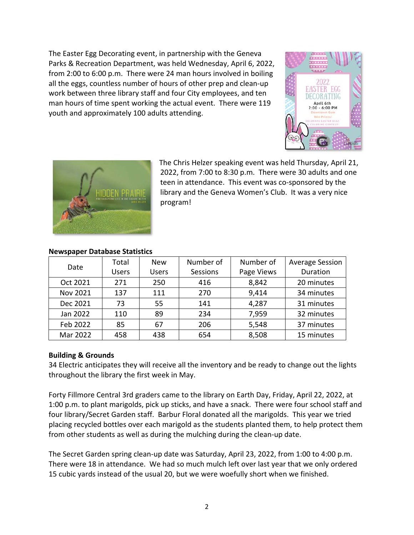The Easter Egg Decorating event, in partnership with the Geneva Parks & Recreation Department, was held Wednesday, April 6, 2022, from 2:00 to 6:00 p.m. There were 24 man hours involved in boiling all the eggs, countless number of hours of other prep and clean-up work between three library staff and four City employees, and ten man hours of time spent working the actual event. There were 119 youth and approximately 100 adults attending.





The Chris Helzer speaking event was held Thursday, April 21, 2022, from 7:00 to 8:30 p.m. There were 30 adults and one teen in attendance. This event was co-sponsored by the library and the Geneva Women's Club. It was a very nice program!

| Date     | Total        | <b>New</b>   | Number of | Number of  | <b>Average Session</b> |
|----------|--------------|--------------|-----------|------------|------------------------|
|          | <b>Users</b> | <b>Users</b> | Sessions  | Page Views | Duration               |
| Oct 2021 | 271          | 250          | 416       | 8,842      | 20 minutes             |
| Nov 2021 | 137          | 111          | 270       | 9,414      | 34 minutes             |
| Dec 2021 | 73           | 55           | 141       | 4,287      | 31 minutes             |
| Jan 2022 | 110          | 89           | 234       | 7,959      | 32 minutes             |
| Feb 2022 | 85           | 67           | 206       | 5,548      | 37 minutes             |
| Mar 2022 | 458          | 438          | 654       | 8,508      | 15 minutes             |

## **Newspaper Database Statistics**

## **Building & Grounds**

34 Electric anticipates they will receive all the inventory and be ready to change out the lights throughout the library the first week in May.

Forty Fillmore Central 3rd graders came to the library on Earth Day, Friday, April 22, 2022, at 1:00 p.m. to plant marigolds, pick up sticks, and have a snack. There were four school staff and four library/Secret Garden staff. Barbur Floral donated all the marigolds. This year we tried placing recycled bottles over each marigold as the students planted them, to help protect them from other students as well as during the mulching during the clean-up date.

The Secret Garden spring clean-up date was Saturday, April 23, 2022, from 1:00 to 4:00 p.m. There were 18 in attendance. We had so much mulch left over last year that we only ordered 15 cubic yards instead of the usual 20, but we were woefully short when we finished.